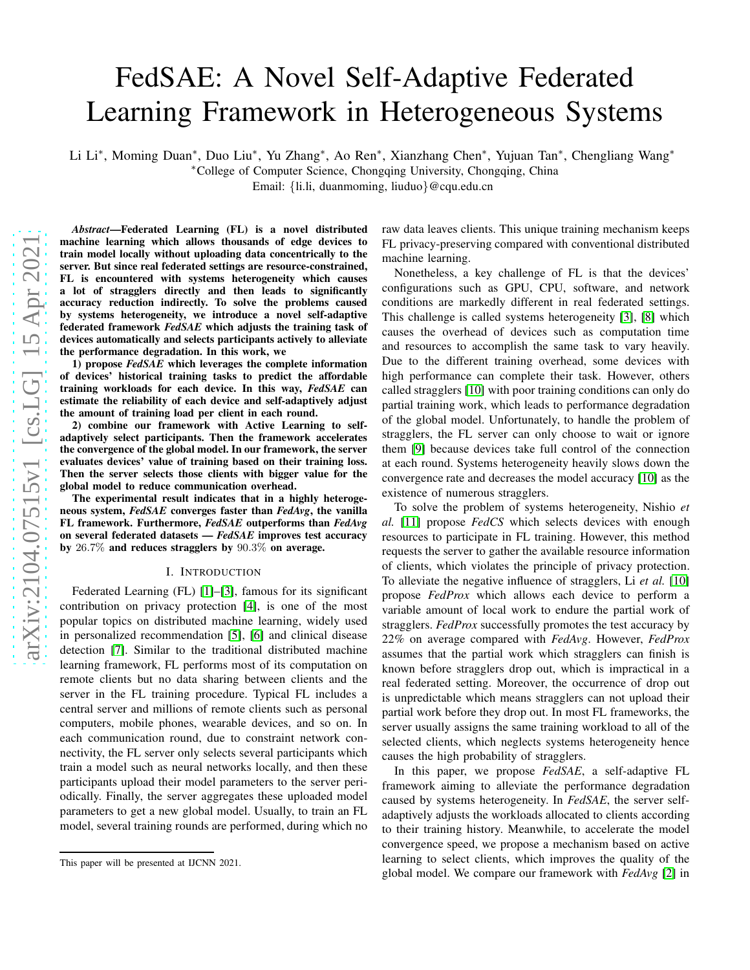# FedSAE: A Novel Self-Adaptive Federated Learning Framework in Heterogeneous Systems

Li Li<sup>\*</sup>, Moming Duan<sup>\*</sup>, Duo Liu<sup>\*</sup>, Yu Zhang<sup>\*</sup>, Ao Ren<sup>\*</sup>, Xianzhang Chen<sup>\*</sup>, Yujuan Tan<sup>\*</sup>, Chengliang Wang<sup>\*</sup> <sup>∗</sup>College of Computer Science, Chongqing University, Chongqing, China Email: {li.li, duanmoming, liuduo}@cqu.edu.cn

*Abstract*—Federated Learning (FL) is a novel distributed machine learning which allows thousands of edge devices to train model locally without uploading data concentrically to the server. But since real federated settings are resource-constrained, FL is encountered with systems heterogeneity which causes a lot of stragglers directly and then leads to significantly accuracy reduction indirectly. To solve the problems caused by systems heterogeneity, we introduce a novel self-adaptive federated framework *FedSAE* which adjusts the training task of devices automatically and selects participants actively to alleviate the performance degradation. In this work, we

1) propose *FedSAE* which leverages the complete information of devices' historical training tasks to predict the affordable training workloads for each device. In this way, *FedSAE* can estimate the reliability of each device and self-adaptively adjust the amount of training load per client in each round.

2) combine our framework with Active Learning to selfadaptively select participants. Then the framework accelerates the convergence of the global model. In our framework, the server evaluates devices' value of training based on their training loss. Then the server selects those clients with bigger value for the global model to reduce communication overhead.

The experimental result indicates that in a highly heterogeneous system, *FedSAE* converges faster than *FedAvg*, the vanilla FL framework. Furthermore, *FedSAE* outperforms than *FedAvg* on several federated datasets — *FedSAE* improves test accuracy by 26.7% and reduces stragglers by 90.3% on average.

#### I. INTRODUCTION

Federated Learning (FL) [\[1\]](#page-8-0)–[\[3\]](#page-8-1), famous for its significant contribution on privacy protection [\[4\]](#page-8-2), is one of the most popular topics on distributed machine learning, widely used in personalized recommendation [\[5\]](#page-8-3), [\[6\]](#page-8-4) and clinical disease detection [\[7\]](#page-8-5). Similar to the traditional distributed machine learning framework, FL performs most of its computation on remote clients but no data sharing between clients and the server in the FL training procedure. Typical FL includes a central server and millions of remote clients such as personal computers, mobile phones, wearable devices, and so on. In each communication round, due to constraint network connectivity, the FL server only selects several participants which train a model such as neural networks locally, and then these participants upload their model parameters to the server periodically. Finally, the server aggregates these uploaded model parameters to get a new global model. Usually, to train an FL model, several training rounds are performed, during which no raw data leaves clients. This unique training mechanism keeps FL privacy-preserving compared with conventional distributed machine learning.

Nonetheless, a key challenge of FL is that the devices' configurations such as GPU, CPU, software, and network conditions are markedly different in real federated settings. This challenge is called systems heterogeneity [\[3\]](#page-8-1), [\[8\]](#page-9-0) which causes the overhead of devices such as computation time and resources to accomplish the same task to vary heavily. Due to the different training overhead, some devices with high performance can complete their task. However, others called stragglers [\[10\]](#page-9-1) with poor training conditions can only do partial training work, which leads to performance degradation of the global model. Unfortunately, to handle the problem of stragglers, the FL server can only choose to wait or ignore them [\[9\]](#page-9-2) because devices take full control of the connection at each round. Systems heterogeneity heavily slows down the convergence rate and decreases the model accuracy [\[10\]](#page-9-1) as the existence of numerous stragglers.

To solve the problem of systems heterogeneity, Nishio *et al.* [\[11\]](#page-9-3) propose *FedCS* which selects devices with enough resources to participate in FL training. However, this method requests the server to gather the available resource information of clients, which violates the principle of privacy protection. To alleviate the negative influence of stragglers, Li *et al.* [\[10\]](#page-9-1) propose *FedProx* which allows each device to perform a variable amount of local work to endure the partial work of stragglers. *FedProx* successfully promotes the test accuracy by 22% on average compared with *FedAvg*. However, *FedProx* assumes that the partial work which stragglers can finish is known before stragglers drop out, which is impractical in a real federated setting. Moreover, the occurrence of drop out is unpredictable which means stragglers can not upload their partial work before they drop out. In most FL frameworks, the server usually assigns the same training workload to all of the selected clients, which neglects systems heterogeneity hence causes the high probability of stragglers.

In this paper, we propose *FedSAE*, a self-adaptive FL framework aiming to alleviate the performance degradation caused by systems heterogeneity. In *FedSAE*, the server selfadaptively adjusts the workloads allocated to clients according to their training history. Meanwhile, to accelerate the model convergence speed, we propose a mechanism based on active learning to select clients, which improves the quality of the global model. We compare our framework with *FedAvg* [\[2\]](#page-8-6) in

This paper will be presented at IJCNN 2021.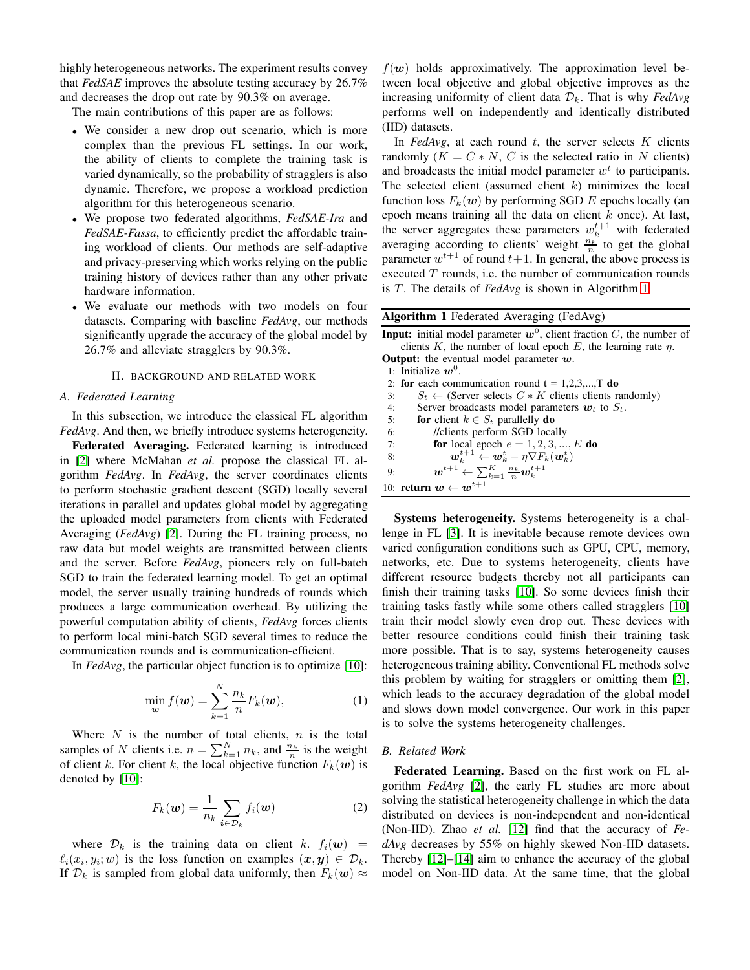highly heterogeneous networks. The experiment results convey that *FedSAE* improves the absolute testing accuracy by 26.7% and decreases the drop out rate by 90.3% on average.

The main contributions of this paper are as follows:

- We consider a new drop out scenario, which is more complex than the previous FL settings. In our work, the ability of clients to complete the training task is varied dynamically, so the probability of stragglers is also dynamic. Therefore, we propose a workload prediction algorithm for this heterogeneous scenario.
- We propose two federated algorithms, *FedSAE-Ira* and *FedSAE-Fassa*, to efficiently predict the affordable training workload of clients. Our methods are self-adaptive and privacy-preserving which works relying on the public training history of devices rather than any other private hardware information.
- We evaluate our methods with two models on four datasets. Comparing with baseline *FedAvg*, our methods significantly upgrade the accuracy of the global model by 26.7% and alleviate stragglers by 90.3%.

#### II. BACKGROUND AND RELATED WORK

#### *A. Federated Learning*

In this subsection, we introduce the classical FL algorithm *FedAvg*. And then, we briefly introduce systems heterogeneity.

Federated Averaging. Federated learning is introduced in [\[2\]](#page-8-6) where McMahan *et al.* propose the classical FL algorithm *FedAvg*. In *FedAvg*, the server coordinates clients to perform stochastic gradient descent (SGD) locally several iterations in parallel and updates global model by aggregating the uploaded model parameters from clients with Federated Averaging (*FedAvg*) [\[2\]](#page-8-6). During the FL training process, no raw data but model weights are transmitted between clients and the server. Before *FedAvg*, pioneers rely on full-batch SGD to train the federated learning model. To get an optimal model, the server usually training hundreds of rounds which produces a large communication overhead. By utilizing the powerful computation ability of clients, *FedAvg* forces clients to perform local mini-batch SGD several times to reduce the communication rounds and is communication-efficient.

In *FedAvg*, the particular object function is to optimize [\[10\]](#page-9-1):

$$
\min_{\mathbf{w}} f(\mathbf{w}) = \sum_{k=1}^{N} \frac{n_k}{n} F_k(\mathbf{w}), \tag{1}
$$

Where  $N$  is the number of total clients,  $n$  is the total samples of N clients i.e.  $n = \sum_{k=1}^{N} n_k$ , and  $\frac{n_k}{n}$  is the weight of client k. For client k, the local objective function  $F_k(\boldsymbol{w})$  is denoted by [\[10\]](#page-9-1):

$$
F_k(\boldsymbol{w}) = \frac{1}{n_k} \sum_{i \in \mathcal{D}_k} f_i(\boldsymbol{w})
$$
 (2)

where  $\mathcal{D}_k$  is the training data on client k.  $f_i(\boldsymbol{w})$  =  $\ell_i(x_i, y_i; w)$  is the loss function on examples  $(x, y) \in \mathcal{D}_k$ . If  $\mathcal{D}_k$  is sampled from global data uniformly, then  $F_k(\boldsymbol{w}) \approx$ 

 $f(w)$  holds approximatively. The approximation level between local objective and global objective improves as the increasing uniformity of client data  $\mathcal{D}_k$ . That is why *FedAvg* performs well on independently and identically distributed (IID) datasets.

In  $FedAvg$ , at each round  $t$ , the server selects  $K$  clients randomly  $(K = C*N, C$  is the selected ratio in N clients) and broadcasts the initial model parameter  $w<sup>t</sup>$  to participants. The selected client (assumed client  $k$ ) minimizes the local function loss  $F_k(w)$  by performing SGD E epochs locally (an epoch means training all the data on client  $k$  once). At last, the server aggregates these parameters  $w_k^{t+1}$  with federated averaging according to clients' weight  $\frac{n_k}{n}$  to get the global parameter  $w^{t+1}$  of round  $t+1$ . In general, the above process is executed  $T$  rounds, i.e. the number of communication rounds is T. The details of *FedAvg* is shown in Algorithm [1.](#page-1-0)

<span id="page-1-0"></span>

| <b>Algorithm 1</b> Federated Averaging (FedAvg)                                                    |
|----------------------------------------------------------------------------------------------------|
| <b>Input:</b> initial model parameter $w^0$ , client fraction C, the number of                     |
| clients K, the number of local epoch E, the learning rate $\eta$ .                                 |
| <b>Output:</b> the eventual model parameter $w$ .                                                  |
| 1: Initialize $w^0$ .                                                                              |
| 2: for each communication round $t = 1,2,3,,T$ do                                                  |
| $S_t \leftarrow$ (Server selects $C \ast K$ clients clients randomly)<br>3:                        |
| Server broadcasts model parameters $w_t$ to $S_t$ .<br>4:                                          |
| for client $k \in S_t$ parallelly do<br>5:                                                         |
| //clients perform SGD locally<br>6:                                                                |
| for local epoch $e = 1, 2, 3, , E$ do<br>7:                                                        |
| $\boldsymbol{w}_k^{t+1} \leftarrow \boldsymbol{w}_k^t - \eta \nabla F_k(\boldsymbol{w}_k^t)$<br>8: |
| $\boldsymbol{w}^{t+1} \leftarrow \sum_{k=1}^K \frac{n_k}{n} \boldsymbol{w}_k^{t+1}$<br>9:          |
| 10: <b>return</b> $w \leftarrow w^{t+1}$                                                           |

Systems heterogeneity. Systems heterogeneity is a challenge in FL [\[3\]](#page-8-1). It is inevitable because remote devices own varied configuration conditions such as GPU, CPU, memory, networks, etc. Due to systems heterogeneity, clients have different resource budgets thereby not all participants can finish their training tasks [\[10\]](#page-9-1). So some devices finish their training tasks fastly while some others called stragglers [\[10\]](#page-9-1) train their model slowly even drop out. These devices with better resource conditions could finish their training task more possible. That is to say, systems heterogeneity causes heterogeneous training ability. Conventional FL methods solve this problem by waiting for stragglers or omitting them [\[2\]](#page-8-6), which leads to the accuracy degradation of the global model and slows down model convergence. Our work in this paper is to solve the systems heterogeneity challenges.

#### *B. Related Work*

Federated Learning. Based on the first work on FL algorithm *FedAvg* [\[2\]](#page-8-6), the early FL studies are more about solving the statistical heterogeneity challenge in which the data distributed on devices is non-independent and non-identical (Non-IID). Zhao *et al.* [\[12\]](#page-9-4) find that the accuracy of *FedAvg* decreases by 55% on highly skewed Non-IID datasets. Thereby [\[12\]](#page-9-4)–[\[14\]](#page-9-5) aim to enhance the accuracy of the global model on Non-IID data. At the same time, that the global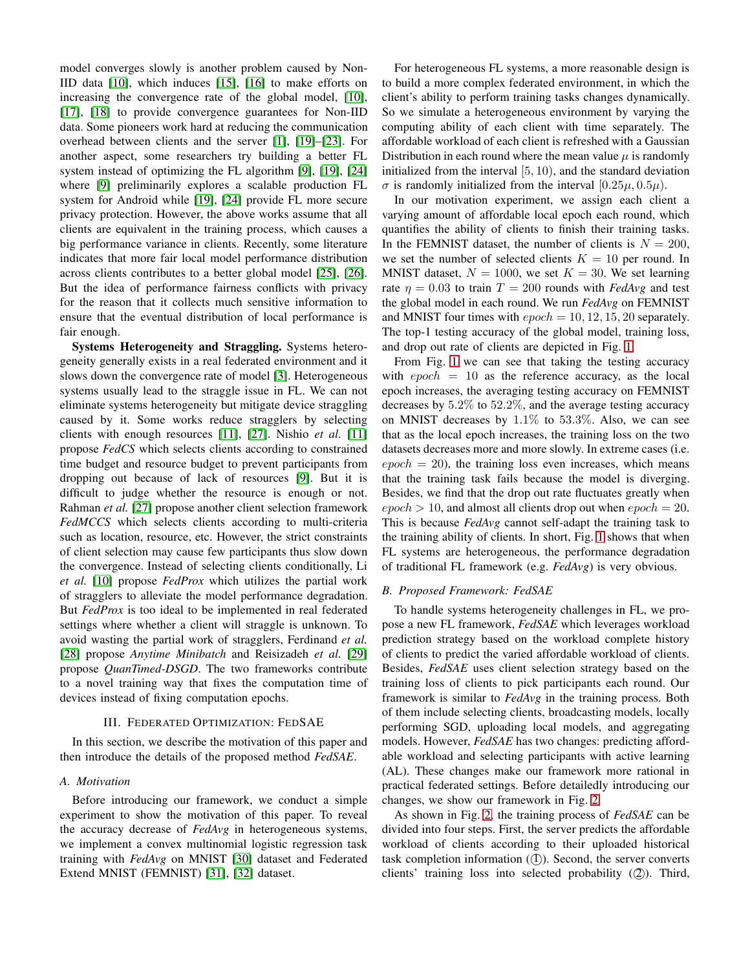model converges slowly is another problem caused by Non-IID data [\[10\]](#page-9-1), which induces [\[15\]](#page-9-6), [\[16\]](#page-9-7) to make efforts on increasing the convergence rate of the global model, [\[10\]](#page-9-1), [\[17\]](#page-9-8), [\[18\]](#page-9-9) to provide convergence guarantees for Non-IID data. Some pioneers work hard at reducing the communication overhead between clients and the server [\[1\]](#page-8-0), [\[19\]](#page-9-10)–[\[23\]](#page-9-11). For another aspect, some researchers try building a better FL system instead of optimizing the FL algorithm [\[9\]](#page-9-2), [\[19\]](#page-9-10), [\[24\]](#page-9-12) where [\[9\]](#page-9-2) preliminarily explores a scalable production FL system for Android while [\[19\]](#page-9-10), [\[24\]](#page-9-12) provide FL more secure privacy protection. However, the above works assume that all clients are equivalent in the training process, which causes a big performance variance in clients. Recently, some literature indicates that more fair local model performance distribution across clients contributes to a better global model [\[25\]](#page-9-13), [\[26\]](#page-9-14). But the idea of performance fairness conflicts with privacy for the reason that it collects much sensitive information to ensure that the eventual distribution of local performance is fair enough.

Systems Heterogeneity and Straggling. Systems heterogeneity generally exists in a real federated environment and it slows down the convergence rate of model [\[3\]](#page-8-1). Heterogeneous systems usually lead to the straggle issue in FL. We can not eliminate systems heterogeneity but mitigate device straggling caused by it. Some works reduce stragglers by selecting clients with enough resources [\[11\]](#page-9-3), [\[27\]](#page-9-15). Nishio *et al.* [\[11\]](#page-9-3) propose *FedCS* which selects clients according to constrained time budget and resource budget to prevent participants from dropping out because of lack of resources [\[9\]](#page-9-2). But it is difficult to judge whether the resource is enough or not. Rahman *et al.* [\[27\]](#page-9-15) propose another client selection framework *FedMCCS* which selects clients according to multi-criteria such as location, resource, etc. However, the strict constraints of client selection may cause few participants thus slow down the convergence. Instead of selecting clients conditionally, Li *et al.* [\[10\]](#page-9-1) propose *FedProx* which utilizes the partial work of stragglers to alleviate the model performance degradation. But *FedProx* is too ideal to be implemented in real federated settings where whether a client will straggle is unknown. To avoid wasting the partial work of stragglers, Ferdinand *et al.* [\[28\]](#page-9-16) propose *Anytime Minibatch* and Reisizadeh *et al.* [\[29\]](#page-9-17) propose *QuanTimed-DSGD*. The two frameworks contribute to a novel training way that fixes the computation time of devices instead of fixing computation epochs.

#### III. FEDERATED OPTIMIZATION: FEDSAE

In this section, we describe the motivation of this paper and then introduce the details of the proposed method *FedSAE*.

#### <span id="page-2-0"></span>*A. Motivation*

Before introducing our framework, we conduct a simple experiment to show the motivation of this paper. To reveal the accuracy decrease of *FedAvg* in heterogeneous systems, we implement a convex multinomial logistic regression task training with *FedAvg* on MNIST [\[30\]](#page-9-18) dataset and Federated Extend MNIST (FEMNIST) [\[31\]](#page-9-19), [\[32\]](#page-9-20) dataset.

For heterogeneous FL systems, a more reasonable design is to build a more complex federated environment, in which the client's ability to perform training tasks changes dynamically. So we simulate a heterogeneous environment by varying the computing ability of each client with time separately. The affordable workload of each client is refreshed with a Gaussian Distribution in each round where the mean value  $\mu$  is randomly initialized from the interval  $[5, 10)$ , and the standard deviation σ is randomly initialized from the interval [0.25 $\mu$ , 0.5 $\mu$ ).

In our motivation experiment, we assign each client a varying amount of affordable local epoch each round, which quantifies the ability of clients to finish their training tasks. In the FEMNIST dataset, the number of clients is  $N = 200$ , we set the number of selected clients  $K = 10$  per round. In MNIST dataset,  $N = 1000$ , we set  $K = 30$ . We set learning rate  $\eta = 0.03$  to train  $T = 200$  rounds with *FedAvg* and test the global model in each round. We run *FedAvg* on FEMNIST and MNIST four times with  $epoch = 10, 12, 15, 20$  separately. The top-1 testing accuracy of the global model, training loss, and drop out rate of clients are depicted in Fig. [1.](#page-3-0)

From Fig. [1](#page-3-0) we can see that taking the testing accuracy with  $epoch = 10$  as the reference accuracy, as the local epoch increases, the averaging testing accuracy on FEMNIST decreases by 5.2% to 52.2%, and the average testing accuracy on MNIST decreases by  $1.1\%$  to  $53.3\%$ . Also, we can see that as the local epoch increases, the training loss on the two datasets decreases more and more slowly. In extreme cases (i.e.  $epoch = 20$ , the training loss even increases, which means that the training task fails because the model is diverging. Besides, we find that the drop out rate fluctuates greatly when  $epoch > 10$ , and almost all clients drop out when  $epoch = 20$ . This is because *FedAvg* cannot self-adapt the training task to the training ability of clients. In short, Fig. [1](#page-3-0) shows that when FL systems are heterogeneous, the performance degradation of traditional FL framework (e.g. *FedAvg*) is very obvious.

#### *B. Proposed Framework: FedSAE*

To handle systems heterogeneity challenges in FL, we propose a new FL framework, *FedSAE* which leverages workload prediction strategy based on the workload complete history of clients to predict the varied affordable workload of clients. Besides, *FedSAE* uses client selection strategy based on the training loss of clients to pick participants each round. Our framework is similar to *FedAvg* in the training process. Both of them include selecting clients, broadcasting models, locally performing SGD, uploading local models, and aggregating models. However, *FedSAE* has two changes: predicting affordable workload and selecting participants with active learning (AL). These changes make our framework more rational in practical federated settings. Before detailedly introducing our changes, we show our framework in Fig. [2.](#page-3-1)

As shown in Fig. [2,](#page-3-1) the training process of *FedSAE* can be divided into four steps. First, the server predicts the affordable workload of clients according to their uploaded historical task completion information  $(1)$ ). Second, the server converts clients' training loss into selected probability  $(2)$ ). Third,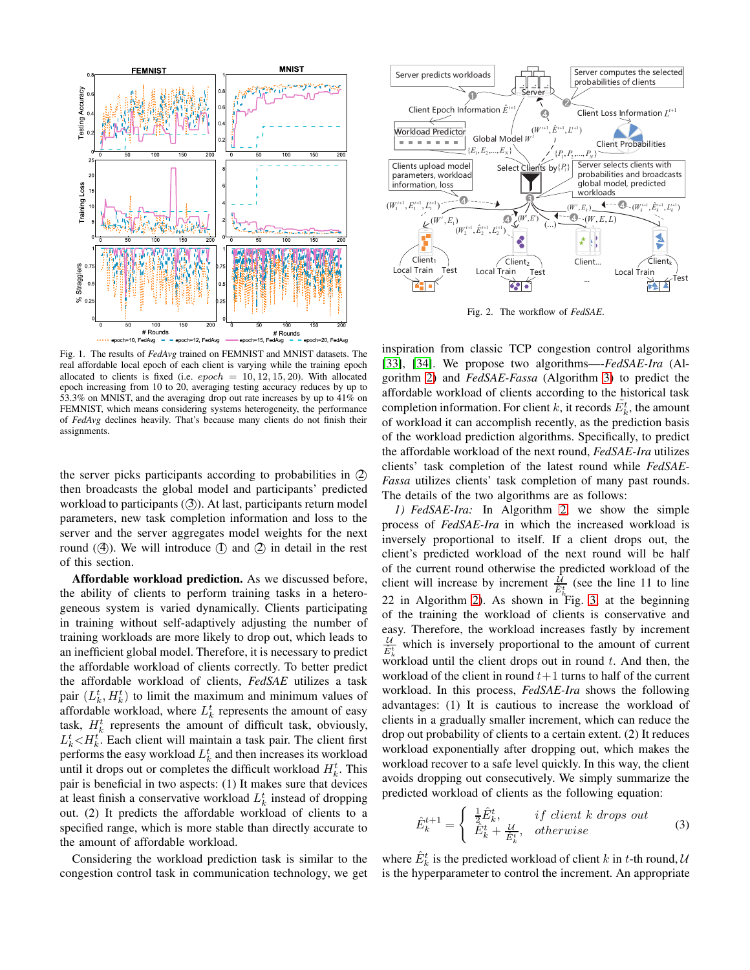

<span id="page-3-0"></span>Fig. 1. The results of *FedAvg* trained on FEMNIST and MNIST datasets. The real affordable local epoch of each client is varying while the training epoch allocated to clients is fixed (i.e.  $epoch = 10, 12, 15, 20$ ). With allocated epoch increasing from 10 to 20, averaging testing accuracy reduces by up to 53.3% on MNIST, and the averaging drop out rate increases by up to 41% on FEMNIST, which means considering systems heterogeneity, the performance of *FedAvg* declines heavily. That's because many clients do not finish their assignments.

the server picks participants according to probabilities in 2 then broadcasts the global model and participants' predicted workload to participants  $(3)$ . At last, participants return model parameters, new task completion information and loss to the server and the server aggregates model weights for the next round  $(4)$ ). We will introduce  $(1)$  and  $(2)$  in detail in the rest of this section.

Affordable workload prediction. As we discussed before, the ability of clients to perform training tasks in a heterogeneous system is varied dynamically. Clients participating in training without self-adaptively adjusting the number of training workloads are more likely to drop out, which leads to an inefficient global model. Therefore, it is necessary to predict the affordable workload of clients correctly. To better predict the affordable workload of clients, *FedSAE* utilizes a task pair  $(L_k^t, H_k^t)$  to limit the maximum and minimum values of affordable workload, where  $L_k^t$  represents the amount of easy task,  $H_k^t$  represents the amount of difficult task, obviously,  $L_k^t$   $\lt$   $H_k^t$ . Each client will maintain a task pair. The client first performs the easy workload  $L_k^t$  and then increases its workload until it drops out or completes the difficult workload  $H_k^t$ . This pair is beneficial in two aspects: (1) It makes sure that devices at least finish a conservative workload  $L_k^t$  instead of dropping out. (2) It predicts the affordable workload of clients to a specified range, which is more stable than directly accurate to the amount of affordable workload.

Considering the workload prediction task is similar to the congestion control task in communication technology, we get



<span id="page-3-1"></span>Fig. 2. The workflow of *FedSAE*.

inspiration from classic TCP congestion control algorithms [\[33\]](#page-9-21), [\[34\]](#page-9-22). We propose two algorithms—-*FedSAE-Ira* (Algorithm [2\)](#page-4-0) and *FedSAE-Fassa* (Algorithm [3\)](#page-5-0) to predict the affordable workload of clients according to the historical task completion information. For client k, it records  $\tilde{E}_k^t$ , the amount of workload it can accomplish recently, as the prediction basis of the workload prediction algorithms. Specifically, to predict the affordable workload of the next round, *FedSAE-Ira* utilizes clients' task completion of the latest round while *FedSAE-Fassa* utilizes clients' task completion of many past rounds. The details of the two algorithms are as follows:

*1) FedSAE-Ira:* In Algorithm [2,](#page-4-0) we show the simple process of *FedSAE-Ira* in which the increased workload is inversely proportional to itself. If a client drops out, the client's predicted workload of the next round will be half of the current round otherwise the predicted workload of the client will increase by increment  $\frac{\tilde{U}}{\hat{E}_k^t}$  (see the line 11 to line 22 in Algorithm [2\)](#page-4-0). As shown in Fig. [3,](#page-4-1) at the beginning of the training the workload of clients is conservative and easy. Therefore, the workload increases fastly by increment  $\frac{U}{\hat{C}t}$  which is inversely proportional to the amount of current  $\hat{E}_k^t$ workload until the client drops out in round  $t$ . And then, the workload of the client in round  $t+1$  turns to half of the current workload. In this process, *FedSAE-Ira* shows the following advantages: (1) It is cautious to increase the workload of clients in a gradually smaller increment, which can reduce the drop out probability of clients to a certain extent. (2) It reduces workload exponentially after dropping out, which makes the workload recover to a safe level quickly. In this way, the client avoids dropping out consecutively. We simply summarize the predicted workload of clients as the following equation:

$$
\hat{E}_k^{t+1} = \begin{cases}\n\frac{1}{2}\hat{E}_k^t, & if \text{ client } k \text{ drops out} \\
\hat{E}_k^t + \frac{\mathcal{U}}{\hat{E}_k^t}, & otherwise\n\end{cases}
$$
\n(3)

<span id="page-3-2"></span>where  $\hat{E}_k^t$  is the predicted workload of client k in t-th round, U is the hyperparameter to control the increment. An appropriate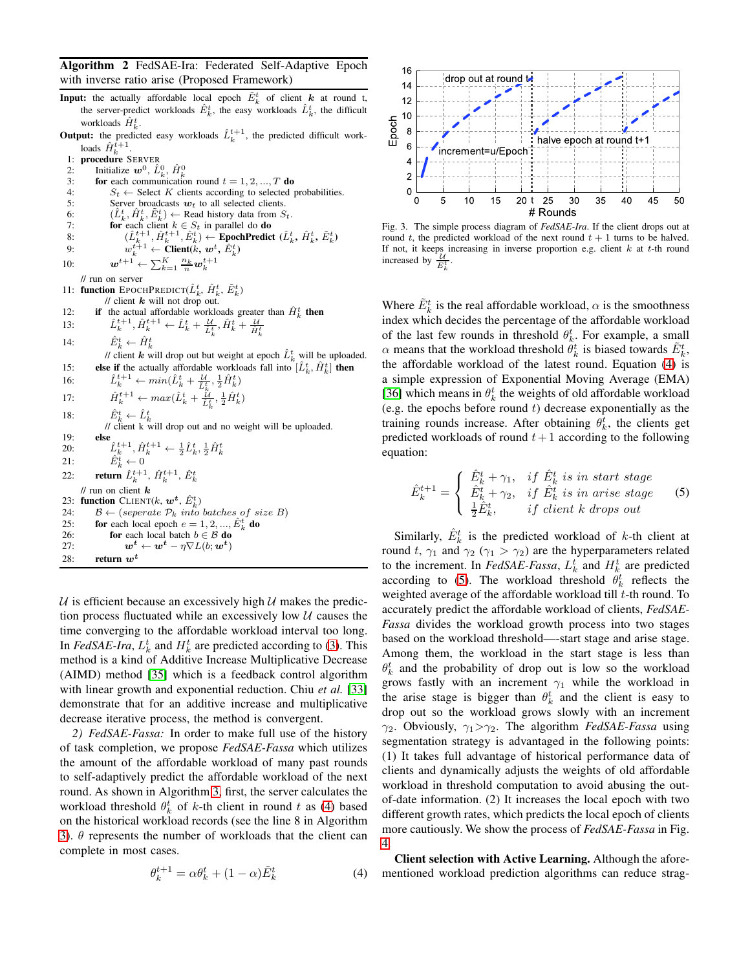<span id="page-4-0"></span>Algorithm 2 FedSAE-Ira: Federated Self-Adaptive Epoch with inverse ratio arise (Proposed Framework)

- **Input:** the actually affordable local epoch  $\tilde{E}_k^t$  of client  $k$  at round t, the server-predict workloads  $\hat{E}_k^t$ , the easy workloads  $\hat{L}_k^t$ , the difficult workloads  $\hat{H}_{k}^{t}$ .
- **Output:** the predicted easy workloads  $\hat{L}_k^{t+1}$ , the predicted difficult workloads  $\hat{H}_k^{\tilde{t}+1}$ .
- 1: procedure SERVER
- 2: Initialize  $w^0$ ,  $\hat{L}_k^0$ ,  $\hat{H}_k^0$
- 3: for each communication round  $t = 1, 2, ..., T$  do
- 4:  $S_t \leftarrow$  Select K clients according to selected probabilities.
- 5: Server broadcasts  $w_t$  to all selected clients.
- 6:  $(\hat{L}_k^t, \hat{H}_k^t, \tilde{E}_k^t) \leftarrow$  Read history data from  $S_t$ .
- 7: **for** each client  $k \in S_t$  in parallel do **do** 8:  $(\hat{L}_k^{t+1}, \hat{H}_k^{t+1}, \hat{E}_k^t) \leftarrow \text{EpochPredict} (\hat{L}_k^t, \hat{H}_k^t, \tilde{E}_k^t)$
- 9:  $w_k^{t+1} \leftarrow \text{Client}(k, w^t, \hat{E}_k^t)$
- 10:  $\qquad \qquad \bm{w}^{t+1} \leftarrow \sum_{k=1}^{K} \frac{n_k}{n} \bm{w}_k^{t+1}$

- // run on server
- 11: function EPOCHPREDICT( $\hat{L}_k^t$ ,  $\hat{H}_k^t$ ,  $\tilde{E}_k^t$ )
- // client  $\mathbf{k}$  will not drop out.
- 12: **if** the actual affordable workloads greater than  $\hat{H}_k^t$  **then**<br>13:  $\hat{L}_k^{t+1}, \hat{H}_k^{t+1} \leftarrow \hat{L}_k^t + \frac{\mathcal{U}}{\hat{L}_k^t}, \hat{H}_k^t + \frac{\mathcal{U}}{\hat{H}_k^t}$
- 
- 14:  $\hat{E}_k^t \leftarrow \hat{H}_k^t$

// client  $\mathbf{k}$  will drop out but weight at epoch  $\hat{L}_k^t$  will be uploaded. 15: **else if** the actually affordable workloads fall into  $[\hat{L}_k^t, \hat{H}_k^t]$  then

16:  $\hat{L}_k^{t+1} \leftarrow min(\hat{L}_k^t + \frac{\mathcal{U}}{\hat{L}_k^t}, \frac{1}{2}\hat{H}_k^t)$ 17:  $\hat{H}_k^{t+1} \leftarrow max(\hat{L}_k^t + \frac{\hat{k}_l}{\hat{L}_k^t}, \frac{1}{2}\hat{H}_k^t)$ 18:  $\hat{E}^t_k \leftarrow \hat{L}^t_k$ <br>
// client k will drop out and no weight will be uploaded. 19: **else**<br>
20:  $\hat{L}_k^{t+1}, \hat{H}_k^{t+1} \leftarrow \frac{1}{2} \hat{L}_k^t, \frac{1}{2} \hat{H}_k^t$ <br>
21:  $\hat{E}_k^t \leftarrow 0$ 22: **return**  $\hat{L}_k^{t+1}$ ,  $\hat{H}_k^{t+1}$ ,  $\hat{E}_k^t$  $\mathcal U$  run on client  $\mathbf k$ 23: function CLIENT(k,  $w^t$ ,  $\hat{E}_k^t$ ) 24:  $\mathcal{B} \leftarrow$  (seperate  $\mathcal{P}_k$  into batches of size B) 25: for each local epoch  $e = 1, 2, ..., \hat{E}_{k}^{t}$  do

26: **for** each local batch 
$$
b \in B
$$
 **do**  
27: 
$$
w^{t} \leftarrow w^{t} - \eta \nabla L(b; w^{t})
$$

28: return  $w^t$ 

 $U$  is efficient because an excessively high  $U$  makes the prediction process fluctuated while an excessively low  $U$  causes the time converging to the affordable workload interval too long. In *FedSAE-Ira*,  $L_k^t$  and  $H_k^t$  are predicted according to [\(3\)](#page-3-2). This method is a kind of Additive Increase Multiplicative Decrease (AIMD) method [\[35\]](#page-9-23) which is a feedback control algorithm with linear growth and exponential reduction. Chiu *et al.* [\[33\]](#page-9-21) demonstrate that for an additive increase and multiplicative decrease iterative process, the method is convergent.

*2) FedSAE-Fassa:* In order to make full use of the history of task completion, we propose *FedSAE-Fassa* which utilizes the amount of the affordable workload of many past rounds to self-adaptively predict the affordable workload of the next round. As shown in Algorithm [3,](#page-5-0) first, the server calculates the workload threshold  $\theta_k^t$  of k-th client in round t as [\(4\)](#page-4-2) based on the historical workload records (see the line 8 in Algorithm [3\)](#page-5-0).  $\theta$  represents the number of workloads that the client can complete in most cases.

<span id="page-4-2"></span>
$$
\theta_k^{t+1} = \alpha \theta_k^t + (1 - \alpha) \tilde{E}_k^t \tag{4}
$$



<span id="page-4-1"></span>Fig. 3. The simple process diagram of *FedSAE-Ira*. If the client drops out at round t, the predicted workload of the next round  $t + 1$  turns to be halved. If not, it keeps increasing in inverse proportion e.g. client  $k$  at  $t$ -th round increased by  $\frac{\mathcal{U}}{E_k^t}$ .

Where  $\tilde{E}^t_k$  is the real affordable workload,  $\alpha$  is the smoothness index which decides the percentage of the affordable workload of the last few rounds in threshold  $\theta_k^t$ . For example, a small  $\alpha$  means that the workload threshold  $\hat{\theta}_k^t$  is biased towards  $\tilde{E}_k^t$ , the affordable workload of the latest round. Equation [\(4\)](#page-4-2) is a simple expression of Exponential Moving Average (EMA) [\[36\]](#page-9-24) which means in  $\theta_k^t$  the weights of old affordable workload (e.g. the epochs before round  $t$ ) decrease exponentially as the training rounds increase. After obtaining  $\theta_k^t$ , the clients get predicted workloads of round  $t+1$  according to the following equation:

<span id="page-4-3"></span>
$$
\hat{E}_k^{t+1} = \begin{cases}\n\hat{E}_k^t + \gamma_1, & \text{if } \hat{E}_k^t \text{ is in start stage} \\
\hat{E}_k^t + \gamma_2, & \text{if } \hat{E}_k^t \text{ is in arise stage} \\
\frac{1}{2}\hat{E}_k^t, & \text{if client k drops out}\n\end{cases}
$$
\n(5)

Similarly,  $\hat{E}_k^t$  is the predicted workload of k-th client at round t,  $\gamma_1$  and  $\gamma_2$  ( $\gamma_1 > \gamma_2$ ) are the hyperparameters related to the increment. In  $FedSAE-Fassa$ ,  $L_k^t$  and  $H_k^t$  are predicted according to [\(5\)](#page-4-3). The workload threshold  $\theta_k^t$  reflects the weighted average of the affordable workload till  $t$ -th round. To accurately predict the affordable workload of clients, *FedSAE-Fassa* divides the workload growth process into two stages based on the workload threshold—-start stage and arise stage. Among them, the workload in the start stage is less than  $\theta_k^t$  and the probability of drop out is low so the workload grows fastly with an increment  $\gamma_1$  while the workload in the arise stage is bigger than  $\theta_k^t$  and the client is easy to drop out so the workload grows slowly with an increment  $\gamma_2$ . Obviously,  $\gamma_1 > \gamma_2$ . The algorithm *FedSAE-Fassa* using segmentation strategy is advantaged in the following points: (1) It takes full advantage of historical performance data of clients and dynamically adjusts the weights of old affordable workload in threshold computation to avoid abusing the outof-date information. (2) It increases the local epoch with two different growth rates, which predicts the local epoch of clients more cautiously. We show the process of *FedSAE-Fassa* in Fig. [4.](#page-5-1)

Client selection with Active Learning. Although the aforementioned workload prediction algorithms can reduce strag-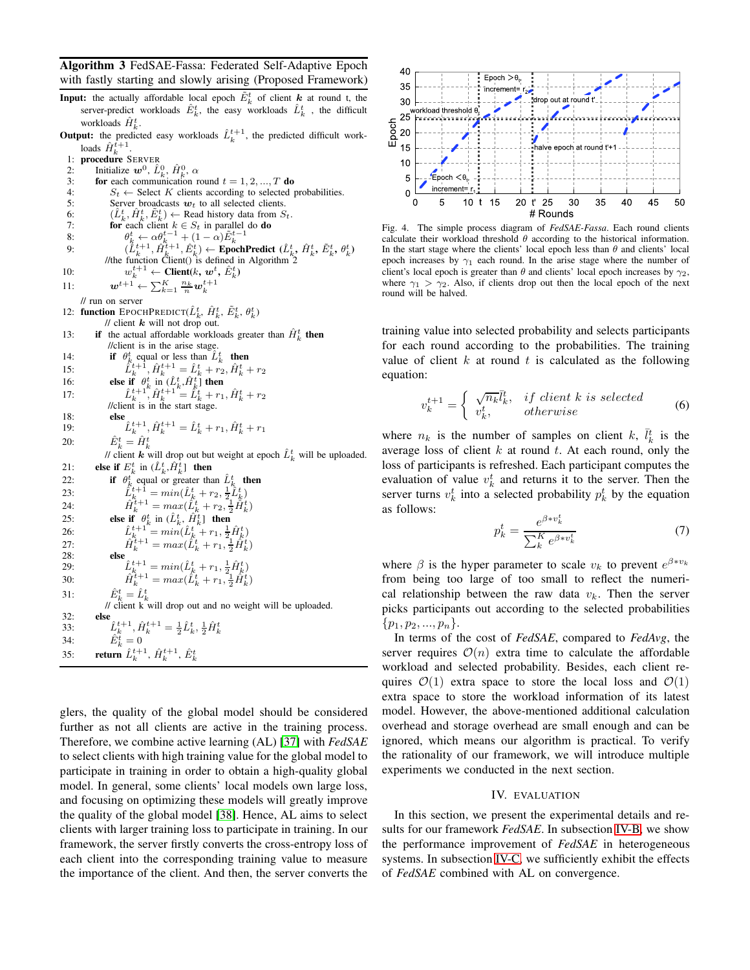<span id="page-5-0"></span>Algorithm 3 FedSAE-Fassa: Federated Self-Adaptive Epoch with fastly starting and slowly arising (Proposed Framework)

- **Input:** the actually affordable local epoch  $E_k^t$  of client  $k$  at round t, the server-predict workloads  $\hat{E}^t_k$ , the easy workloads  $\hat{L}^t_k$ , the difficult workloads  $\hat{H}_{k}^{t}$ .
- **Output:** the predicted easy workloads  $\hat{L}_k^{t+1}$ , the predicted difficult workloads  $\hat{H}_k^{\tilde{t}+1}$ .
- 1: procedure SERVER
- 2: Initialize  $w^0$ ,  $\hat{L}_k^0$ ,  $\hat{H}_k^0$ ,  $\alpha$
- 3: for each communication round  $t = 1, 2, ..., T$  do
- 4:  $S_t \leftarrow$  Select K clients according to selected probabilities.
- 5: Server broadcasts  $w_t$  to all selected clients.
- 6:  $(\hat{L}_k^t, \hat{H}_k^t, \tilde{E}_k^t) \leftarrow$  Read history data from  $S_t$ .
- 7: **for** each client  $k \in S_t$  in parallel do **do**
- 
- 8:<br>  $\theta_k^t \leftarrow \alpha \theta_k^{t-1} + (1-\alpha)\tilde{E}_k^{t-1}$ <br>
9:<br>  $(\tilde{L}_k^{t+1}, \tilde{H}_k^{t+1}, \tilde{E}_k^t) \leftarrow \textbf{EpochPredict} (\tilde{L}_k^t, \tilde{H}_k^t, \tilde{E}_k^t, \theta_k^t)$ //the function Client() is defined in Algorithm<sup>2</sup>
- 10:  $w_k^{t+1} \leftarrow \text{Client}(k, w^t, \hat{E}_k^t)$
- 11:  $\qquad \qquad \mathbf{w}^{t+1} \leftarrow \sum_{k=1}^K \frac{n_k}{n} \mathbf{w}_k^{t+1}$
- // run on server
- 12: function EPOCHPREDICT( $\hat{L}_k^t$ ,  $\hat{H}_k^t$ ,  $\tilde{E}_k^t$ ,  $\theta_k^t$ ) // client  $k$  will not drop out.
- 13: **if** the actual affordable workloads greater than  $\hat{H}_{k}^{t}$  then //client is in the arise stage.
- 
- 14: **if**  $\theta_k^t$  equal or less than  $\hat{L}_k^t$  **then**<br>15:  $\hat{L}_k^{t+1}$ ,  $\hat{H}_k^{t+1} = \hat{L}_k^t + r_2$ ,  $\hat{H}_k^t + r_2$
- 
- 16: **else if**  $\theta_k^t$  in  $(\hat{L}_k^t, \hat{H}_k^{t^+})$  **then**<br>
17:  $\hat{L}_k^{t+1}, \hat{H}_k^{t+1} = \hat{L}_k^t + r_1, \hat{H}_k^t + r_2$
- $\sqrt{\frac{1}{2}}$  //client is in the start stage.

18: **else**  
19: 
$$
\hat{L}_k^{t+1}, \hat{H}_k^{t+1} = \hat{L}_k^t + r_1, \hat{H}_k^t + r_1
$$

20:  $\hat{E}^t_k = \hat{H}^t_k$ 

// client  $\mathbf{k}$  will drop out but weight at epoch  $\hat{L}_k^t$  will be uploaded. 21: **else if**  $E_k^t$  in  $(\hat{L}_k^t, \hat{H}_k^t]$  then

| 22: | if $\theta_k^t$ equal or greater than $\hat{L}_k^t$ then                                        |
|-----|-------------------------------------------------------------------------------------------------|
| 23: | $\hat{L}_{k}^{t+1} = min(\hat{L}_{k}^{t} + r_2, \frac{1}{2}\hat{L}_{k}^{t})$                    |
| 24: | $\hat{H}_{k}^{t+1} = max(\hat{L}_{k}^{t} + r_2, \frac{1}{2}\hat{H}_{k}^{t})$                    |
| 25: | else if $\theta_k^t$ in $(\hat{L}_k^t, \hat{H}_k^t]$ then                                       |
| 26: | $\hat{L}_{k}^{t+1} = min(\hat{L}_{k}^{t} + r_1, \frac{1}{2}\hat{H}_{k}^{t})$                    |
| 27: | $\hat{H}_{k}^{\tilde{t}+1} = max(\hat{L}_{k}^{t} + r_1, \frac{1}{2}\hat{H}_{k}^{t})$            |
| 28: | else                                                                                            |
| 29: | $\hat{L}_{k}^{t+1} = min(\hat{L}_{k}^{t} + r_1, \frac{1}{2}\hat{H}_{k}^{t})$                    |
| 30: | $\hat{H}_{k}^{t+1} = max(\hat{L}_{k}^{t} + r_{1}, \frac{1}{2}\hat{H}_{k}^{t})$                  |
| 31: | $\hat{E}_{\scriptscriptstyle L}^t = \hat{L}_{\scriptscriptstyle L}^t$                           |
|     | // client k will drop out and no weight will be uploaded.                                       |
| 32: | else                                                                                            |
| 33: | $\hat{L}_{k}^{t+1}, \hat{H}_{k}^{t+1} = \frac{1}{2}\hat{L}_{k}^{t}, \frac{1}{2}\hat{H}_{k}^{t}$ |
| 34: | $\hat{E}_L^t=0$                                                                                 |
| 35: | <b>return</b> $\hat{L}_{k}^{t+1}$ , $\hat{H}_{k}^{t+1}$ , $\hat{E}_{k}^{t}$                     |

glers, the quality of the global model should be considered further as not all clients are active in the training process. Therefore, we combine active learning (AL) [\[37\]](#page-9-25) with *FedSAE* to select clients with high training value for the global model to participate in training in order to obtain a high-quality global model. In general, some clients' local models own large loss, and focusing on optimizing these models will greatly improve the quality of the global model [\[38\]](#page-9-26). Hence, AL aims to select clients with larger training loss to participate in training. In our framework, the server firstly converts the cross-entropy loss of each client into the corresponding training value to measure the importance of the client. And then, the server converts the



<span id="page-5-1"></span>Fig. 4. The simple process diagram of *FedSAE-Fassa*. Each round clients calculate their workload threshold  $\theta$  according to the historical information. In the start stage where the clients' local epoch less than  $\theta$  and clients' local epoch increases by  $\gamma_1$  each round. In the arise stage where the number of client's local epoch is greater than  $\theta$  and clients' local epoch increases by  $\gamma_2$ , where  $\gamma_1 > \gamma_2$ . Also, if clients drop out then the local epoch of the next round will be halved.

training value into selected probability and selects participants for each round according to the probabilities. The training value of client  $k$  at round  $t$  is calculated as the following equation:

$$
v_k^{t+1} = \begin{cases} \sqrt{n_k} \bar{l}_k^t, & if \text{ client } k \text{ is selected} \\ v_k^t, & otherwise \end{cases} \tag{6}
$$

where  $n_k$  is the number of samples on client k,  $\bar{l}_k^t$  is the average loss of client  $k$  at round  $t$ . At each round, only the loss of participants is refreshed. Each participant computes the evaluation of value  $v_k^t$  and returns it to the server. Then the server turns  $v_k^t$  into a selected probability  $p_k^t$  by the equation as follows: t

$$
p_k^t = \frac{e^{\beta \ast v_k^t}}{\sum_k^K e^{\beta \ast v_k^t}} \tag{7}
$$

where  $\beta$  is the hyper parameter to scale  $v_k$  to prevent  $e^{\beta * v_k}$ from being too large of too small to reflect the numerical relationship between the raw data  $v_k$ . Then the server picks participants out according to the selected probabilities  $\{p_1, p_2, ..., p_n\}.$ 

In terms of the cost of *FedSAE*, compared to *FedAvg*, the server requires  $\mathcal{O}(n)$  extra time to calculate the affordable workload and selected probability. Besides, each client requires  $\mathcal{O}(1)$  extra space to store the local loss and  $\mathcal{O}(1)$ extra space to store the workload information of its latest model. However, the above-mentioned additional calculation overhead and storage overhead are small enough and can be ignored, which means our algorithm is practical. To verify the rationality of our framework, we will introduce multiple experiments we conducted in the next section.

## IV. EVALUATION

In this section, we present the experimental details and results for our framework *FedSAE*. In subsection [IV-B,](#page-6-0) we show the performance improvement of *FedSAE* in heterogeneous systems. In subsection [IV-C,](#page-8-7) we sufficiently exhibit the effects of *FedSAE* combined with AL on convergence.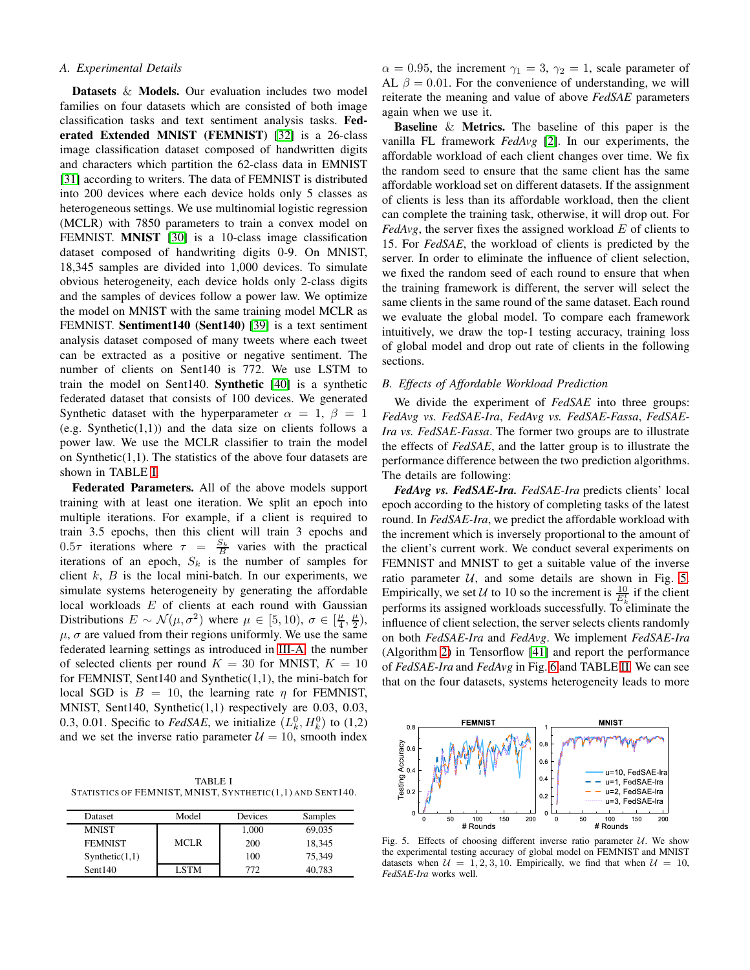# *A. Experimental Details*

Datasets & Models. Our evaluation includes two model families on four datasets which are consisted of both image classification tasks and text sentiment analysis tasks. Federated Extended MNIST (FEMNIST) [\[32\]](#page-9-20) is a 26-class image classification dataset composed of handwritten digits and characters which partition the 62-class data in EMNIST [\[31\]](#page-9-19) according to writers. The data of FEMNIST is distributed into 200 devices where each device holds only 5 classes as heterogeneous settings. We use multinomial logistic regression (MCLR) with 7850 parameters to train a convex model on FEMNIST. MNIST [\[30\]](#page-9-18) is a 10-class image classification dataset composed of handwriting digits 0-9. On MNIST, 18,345 samples are divided into 1,000 devices. To simulate obvious heterogeneity, each device holds only 2-class digits and the samples of devices follow a power law. We optimize the model on MNIST with the same training model MCLR as FEMNIST. Sentiment140 (Sent140) [\[39\]](#page-9-27) is a text sentiment analysis dataset composed of many tweets where each tweet can be extracted as a positive or negative sentiment. The number of clients on Sent140 is 772. We use LSTM to train the model on Sent140. Synthetic [\[40\]](#page-9-28) is a synthetic federated dataset that consists of 100 devices. We generated Synthetic dataset with the hyperparameter  $\alpha = 1, \beta = 1$ (e.g. Synthetic $(1,1)$ ) and the data size on clients follows a power law. We use the MCLR classifier to train the model on Synthetic $(1,1)$ . The statistics of the above four datasets are shown in TABLE [I.](#page-6-1)

Federated Parameters. All of the above models support training with at least one iteration. We split an epoch into multiple iterations. For example, if a client is required to train 3.5 epochs, then this client will train 3 epochs and 0.5 $\tau$  iterations where  $\tau = \frac{S_k}{B}$  varies with the practical iterations of an epoch,  $S_k$  is the number of samples for client  $k$ ,  $B$  is the local mini-batch. In our experiments, we simulate systems heterogeneity by generating the affordable local workloads  $E$  of clients at each round with Gaussian Distributions  $E \sim \mathcal{N}(\mu, \sigma^2)$  where  $\mu \in [5, 10)$ ,  $\sigma \in [\frac{\mu}{4}, \frac{\mu}{2})$ ,  $\mu$ ,  $\sigma$  are valued from their regions uniformly. We use the same federated learning settings as introduced in [III-A:](#page-2-0) the number of selected clients per round  $K = 30$  for MNIST,  $K = 10$ for FEMNIST, Sent140 and Synthetic(1,1), the mini-batch for local SGD is  $B = 10$ , the learning rate  $\eta$  for FEMNIST, MNIST, Sent140, Synthetic(1,1) respectively are 0.03, 0.03, 0.3, 0.01. Specific to *FedSAE*, we initialize  $(L_k^0, H_k^0)$  to (1,2) and we set the inverse ratio parameter  $\mathcal{U} = 10$ , smooth index

<span id="page-6-1"></span>TABLE I STATISTICS OF FEMNIST, MNIST, SYNTHETIC(1,1) AND SENT140.

| Dataset        | Model       | Devices | Samples |
|----------------|-------------|---------|---------|
| <b>MNIST</b>   |             | 1.000   | 69,035  |
| <b>FEMNIST</b> | <b>MCLR</b> | 200     | 18.345  |
| Synthetic(1,1) |             | 100     | 75.349  |
| Sent140        | <b>LSTM</b> | 772     | 40.783  |

 $\alpha = 0.95$ , the increment  $\gamma_1 = 3$ ,  $\gamma_2 = 1$ , scale parameter of AL  $\beta = 0.01$ . For the convenience of understanding, we will reiterate the meaning and value of above *FedSAE* parameters again when we use it.

Baseline & Metrics. The baseline of this paper is the vanilla FL framework *FedAvg* [\[2\]](#page-8-6). In our experiments, the affordable workload of each client changes over time. We fix the random seed to ensure that the same client has the same affordable workload set on different datasets. If the assignment of clients is less than its affordable workload, then the client can complete the training task, otherwise, it will drop out. For  $FedAvg$ , the server fixes the assigned workload  $E$  of clients to 15. For *FedSAE*, the workload of clients is predicted by the server. In order to eliminate the influence of client selection, we fixed the random seed of each round to ensure that when the training framework is different, the server will select the same clients in the same round of the same dataset. Each round we evaluate the global model. To compare each framework intuitively, we draw the top-1 testing accuracy, training loss of global model and drop out rate of clients in the following sections.

# <span id="page-6-0"></span>*B. Effects of Affordable Workload Prediction*

We divide the experiment of *FedSAE* into three groups: *FedAvg vs. FedSAE-Ira*, *FedAvg vs. FedSAE-Fassa*, *FedSAE-Ira vs. FedSAE-Fassa*. The former two groups are to illustrate the effects of *FedSAE*, and the latter group is to illustrate the performance difference between the two prediction algorithms. The details are following:

*FedAvg vs. FedSAE-Ira. FedSAE-Ira* predicts clients' local epoch according to the history of completing tasks of the latest round. In *FedSAE-Ira*, we predict the affordable workload with the increment which is inversely proportional to the amount of the client's current work. We conduct several experiments on FEMNIST and MNIST to get a suitable value of the inverse ratio parameter  $U$ , and some details are shown in Fig. [5.](#page-6-2) Empirically, we set U to 10 so the increment is  $\frac{10}{E_k^t}$  if the client performs its assigned workloads successfully. To eliminate the influence of client selection, the server selects clients randomly on both *FedSAE-Ira* and *FedAvg*. We implement *FedSAE-Ira* (Algorithm [2\)](#page-4-0) in Tensorflow [\[41\]](#page-9-29) and report the performance of *FedSAE-Ira* and *FedAvg* in Fig. [6](#page-7-0) and TABLE [II.](#page-7-1) We can see that on the four datasets, systems heterogeneity leads to more



<span id="page-6-2"></span>Fig. 5. Effects of choosing different inverse ratio parameter  $U$ . We show the experimental testing accuracy of global model on FEMNIST and MNIST datasets when  $\mathcal{U} = 1, 2, 3, 10$ . Empirically, we find that when  $\mathcal{U} = 10$ , *FedSAE-Ira* works well.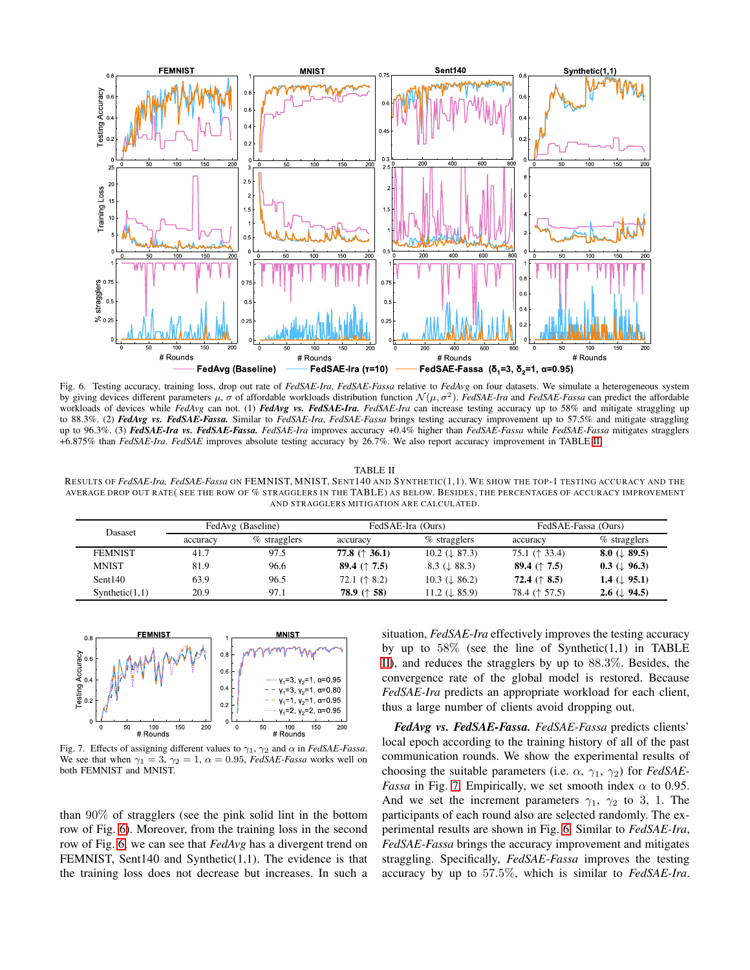

<span id="page-7-0"></span>Fig. 6. Testing accuracy, training loss, drop out rate of *FedSAE-Ira*, *FedSAE-Fassa* relative to *FedAvg* on four datasets. We simulate a heterogeneous system by giving devices different parameters  $\mu$ ,  $\sigma$  of affordable workloads distribution function  $\mathcal{N}(\mu, \sigma^2)$ . *FedSAE-Ira* and *FedSAE-Fassa* can predict the affordable workloads of devices while *FedAvg* can not. (1) *FedAvg vs. FedSAE-Ira. FedSAE-Ira* can increase testing accuracy up to 58% and mitigate straggling up to 88.3%. (2) *FedAvg vs. FedSAE-Fassa.* Similar to *FedSAE-Ira*, *FedSAE-Fassa* brings testing accuracy improvement up to 57.5% and mitigate straggling up to 96.3%. (3) *FedSAE-Ira vs. FedSAE-Fassa. FedSAE-Ira* improves accuracy +0.4% higher than *FedSAE-Fassa* while *FedSAE-Fassa* mitigates stragglers +6.875% than *FedSAE-Ira*. *FedSAE* improves absolute testing accuracy by 26.7%. We also report accuracy improvement in TABLE [II.](#page-7-1)

#### TABLE II

<span id="page-7-1"></span>RESULTS OF *FedSAE-Ira, FedSAE-Fassa* ON FEMNIST, MNIST, SENT140 AND SYNTHETIC(1,1). WE SHOW THE TOP-1 TESTING ACCURACY AND THE AVERAGE DROP OUT RATE( SEE THE ROW OF % STRAGGLERS IN THE TABLE) AS BELOW. BESIDES, THE PERCENTAGES OF ACCURACY IMPROVEMENT AND STRAGGLERS MITIGATION ARE CALCULATED.

| <b>Dasaset</b> | FedAvg (Baseline) |                 | FedSAE-Ira (Ours) |                           | FedSAE-Fassa (Ours) |                          |
|----------------|-------------------|-----------------|-------------------|---------------------------|---------------------|--------------------------|
|                | accuracy          | $\%$ stragglers | accuracy          | $\%$ stragglers           | accuracy            | % stragglers             |
| <b>FEMNIST</b> | 41.7              | 97.5            | 77.8 $(† 36.1)$   | 10.2 $(\downarrow 87.3)$  | 75.1 $(† 33.4)$     | 8.0 ( $\downarrow$ 89.5) |
| <b>MNIST</b>   | 81.9              | 96.6            | 89.4 $(† 7.5)$    | $8.3 (\perp 88.3)$        | 89.4 $(† 7.5)$      | $0.3 \ (\perp 96.3)$     |
| Sent140        | 63.9              | 96.5            | 72.1 $(† 8.2)$    | 10.3 ( $\downarrow$ 86.2) | 72.4 $(† 8.5)$      | 1.4 ( $\downarrow$ 95.1) |
| Synthetic(1,1) | 20.9              | 97.1            | 78.9 $(† 58)$     | 11.2 $(\downarrow 85.9)$  | 78.4 († 57.5)       | 2.6 ( $\downarrow$ 94.5) |



<span id="page-7-2"></span>Fig. 7. Effects of assigning different values to  $\gamma_1$ ,  $\gamma_2$  and  $\alpha$  in *FedSAE-Fassa*. We see that when  $\gamma_1 = 3$ ,  $\gamma_2 = 1$ ,  $\alpha = 0.95$ , *FedSAE-Fassa* works well on both FEMNIST and MNIST.

than 90% of stragglers (see the pink solid lint in the bottom row of Fig. [6\)](#page-7-0). Moreover, from the training loss in the second row of Fig. [6,](#page-7-0) we can see that *FedAvg* has a divergent trend on FEMNIST, Sent140 and Synthetic(1,1). The evidence is that the training loss does not decrease but increases. In such a situation, *FedSAE-Ira* effectively improves the testing accuracy by up to  $58\%$  (see the line of Synthetic(1,1) in TABLE [II\)](#page-7-1), and reduces the stragglers by up to 88.3%. Besides, the convergence rate of the global model is restored. Because *FedSAE-Ira* predicts an appropriate workload for each client, thus a large number of clients avoid dropping out.

*FedAvg vs. FedSAE-Fassa. FedSAE-Fassa* predicts clients' local epoch according to the training history of all of the past communication rounds. We show the experimental results of choosing the suitable parameters (i.e.  $\alpha$ ,  $\gamma_1$ ,  $\gamma_2$ ) for *FedSAE*-*Fassa* in Fig. [7.](#page-7-2) Empirically, we set smooth index  $\alpha$  to 0.95. And we set the increment parameters  $\gamma_1$ ,  $\gamma_2$  to 3, 1. The participants of each round also are selected randomly. The experimental results are shown in Fig. [6.](#page-7-0) Similar to *FedSAE-Ira*, *FedSAE-Fassa* brings the accuracy improvement and mitigates straggling. Specifically, *FedSAE-Fassa* improves the testing accuracy by up to 57.5%, which is similar to *FedSAE-Ira*.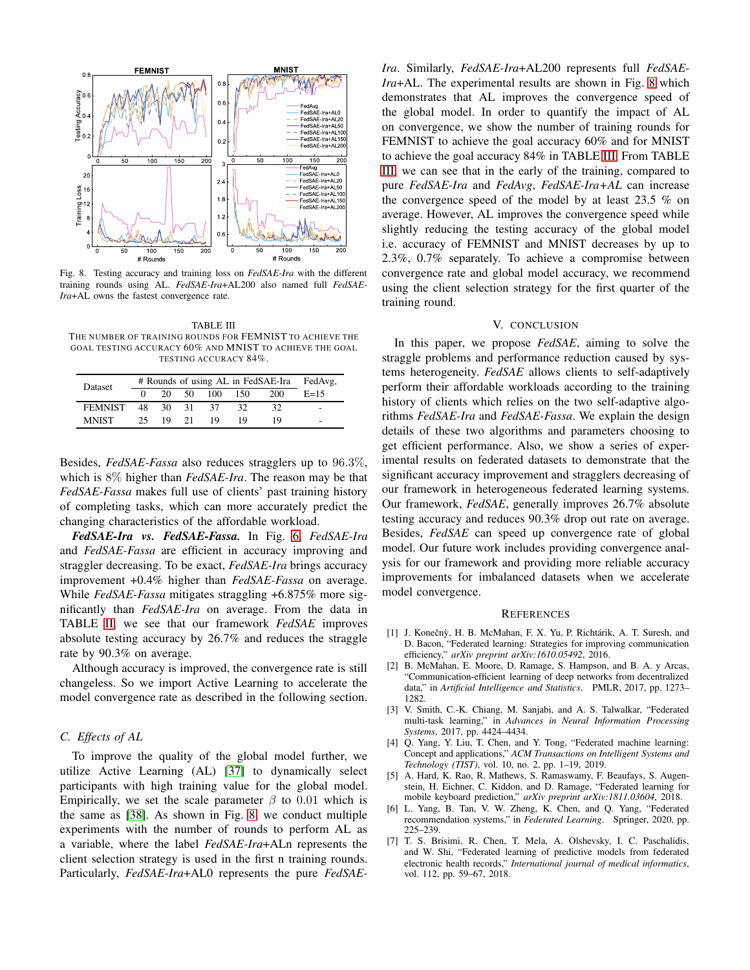

<span id="page-8-8"></span>Fig. 8. Testing accuracy and training loss on *FedSAE-Ira* with the different training rounds using AL. *FedSAE-Ira*+AL200 also named full *FedSAE-Ira*+AL owns the fastest convergence rate.

<span id="page-8-9"></span>TABLE III THE NUMBER OF TRAINING ROUNDS FOR FEMNIST TO ACHIEVE THE GOAL TESTING ACCURACY 60% AND MNIST TO ACHIEVE THE GOAL TESTING ACCURACY 84%.

| Dataset        | # Rounds of using AL in FedSAE-Ira |      |    |     |     | FedAvg. |        |
|----------------|------------------------------------|------|----|-----|-----|---------|--------|
|                |                                    | 20   | 50 | 100 | 150 | 200     | $E=15$ |
| <b>FEMNIST</b> | 48                                 | -30- | 31 | 37  | 32  | 32      | -      |
| <b>MNIST</b>   | 25                                 | 19.  | 21 | 19  | 19  | 10      |        |

Besides, *FedSAE-Fassa* also reduces stragglers up to 96.3%, which is 8% higher than *FedSAE-Ira*. The reason may be that *FedSAE-Fassa* makes full use of clients' past training history of completing tasks, which can more accurately predict the changing characteristics of the affordable workload.

*FedSAE-Ira vs. FedSAE-Fassa.* In Fig. [6,](#page-7-0) *FedSAE-Ira* and *FedSAE-Fassa* are efficient in accuracy improving and straggler decreasing. To be exact, *FedSAE-Ira* brings accuracy improvement +0.4% higher than *FedSAE-Fassa* on average. While *FedSAE-Fassa* mitigates straggling +6.875% more significantly than *FedSAE-Ira* on average. From the data in TABLE [II,](#page-7-1) we see that our framework *FedSAE* improves absolute testing accuracy by 26.7% and reduces the straggle rate by 90.3% on average.

Although accuracy is improved, the convergence rate is still changeless. So we import Active Learning to accelerate the model convergence rate as described in the following section.

## <span id="page-8-7"></span>*C. Effects of AL*

To improve the quality of the global model further, we utilize Active Learning (AL) [\[37\]](#page-9-25) to dynamically select participants with high training value for the global model. Empirically, we set the scale parameter  $\beta$  to 0.01 which is the same as [\[38\]](#page-9-26). As shown in Fig. [8,](#page-8-8) we conduct multiple experiments with the number of rounds to perform AL as a variable, where the label *FedSAE-Ira*+ALn represents the client selection strategy is used in the first n training rounds. Particularly, *FedSAE-Ira*+AL0 represents the pure *FedSAE-* *Ira*. Similarly, *FedSAE-Ira*+AL200 represents full *FedSAE-Ira*+AL. The experimental results are shown in Fig. [8](#page-8-8) which demonstrates that AL improves the convergence speed of the global model. In order to quantify the impact of AL on convergence, we show the number of training rounds for FEMNIST to achieve the goal accuracy 60% and for MNIST to achieve the goal accuracy 84% in TABLE [III.](#page-8-9) From TABLE [III,](#page-8-9) we can see that in the early of the training, compared to pure *FedSAE-Ira* and *FedAvg*, *FedSAE-Ira+AL* can increase the convergence speed of the model by at least 23.5 % on average. However, AL improves the convergence speed while slightly reducing the testing accuracy of the global model i.e. accuracy of FEMNIST and MNIST decreases by up to 2.3%, 0.7% separately. To achieve a compromise between convergence rate and global model accuracy, we recommend using the client selection strategy for the first quarter of the training round.

# V. CONCLUSION

In this paper, we propose *FedSAE*, aiming to solve the straggle problems and performance reduction caused by systems heterogeneity. *FedSAE* allows clients to self-adaptively perform their affordable workloads according to the training history of clients which relies on the two self-adaptive algorithms *FedSAE-Ira* and *FedSAE-Fassa*. We explain the design details of these two algorithms and parameters choosing to get efficient performance. Also, we show a series of experimental results on federated datasets to demonstrate that the significant accuracy improvement and stragglers decreasing of our framework in heterogeneous federated learning systems. Our framework, *FedSAE*, generally improves 26.7% absolute testing accuracy and reduces 90.3% drop out rate on average. Besides, *FedSAE* can speed up convergence rate of global model. Our future work includes providing convergence analysis for our framework and providing more reliable accuracy improvements for imbalanced datasets when we accelerate model convergence.

#### **REFERENCES**

- <span id="page-8-0"></span>[1] J. Konečnỳ, H. B. McMahan, F. X. Yu, P. Richtárik, A. T. Suresh, and D. Bacon, "Federated learning: Strategies for improving communication efficiency," *arXiv preprint arXiv:1610.05492*, 2016.
- <span id="page-8-6"></span>[2] B. McMahan, E. Moore, D. Ramage, S. Hampson, and B. A. y Arcas, "Communication-efficient learning of deep networks from decentralized data," in *Artificial Intelligence and Statistics*. PMLR, 2017, pp. 1273– 1282.
- <span id="page-8-1"></span>[3] V. Smith, C.-K. Chiang, M. Sanjabi, and A. S. Talwalkar, "Federated multi-task learning," in *Advances in Neural Information Processing Systems*, 2017, pp. 4424–4434.
- <span id="page-8-2"></span>[4] Q. Yang, Y. Liu, T. Chen, and Y. Tong, "Federated machine learning: Concept and applications," *ACM Transactions on Intelligent Systems and Technology (TIST)*, vol. 10, no. 2, pp. 1–19, 2019.
- <span id="page-8-3"></span>[5] A. Hard, K. Rao, R. Mathews, S. Ramaswamy, F. Beaufays, S. Augenstein, H. Eichner, C. Kiddon, and D. Ramage, "Federated learning for mobile keyboard prediction," *arXiv preprint arXiv:1811.03604*, 2018.
- <span id="page-8-4"></span>[6] L. Yang, B. Tan, V. W. Zheng, K. Chen, and Q. Yang, "Federated recommendation systems," in *Federated Learning*. Springer, 2020, pp. 225–239.
- <span id="page-8-5"></span>[7] T. S. Brisimi, R. Chen, T. Mela, A. Olshevsky, I. C. Paschalidis, and W. Shi, "Federated learning of predictive models from federated electronic health records," *International journal of medical informatics*, vol. 112, pp. 59–67, 2018.